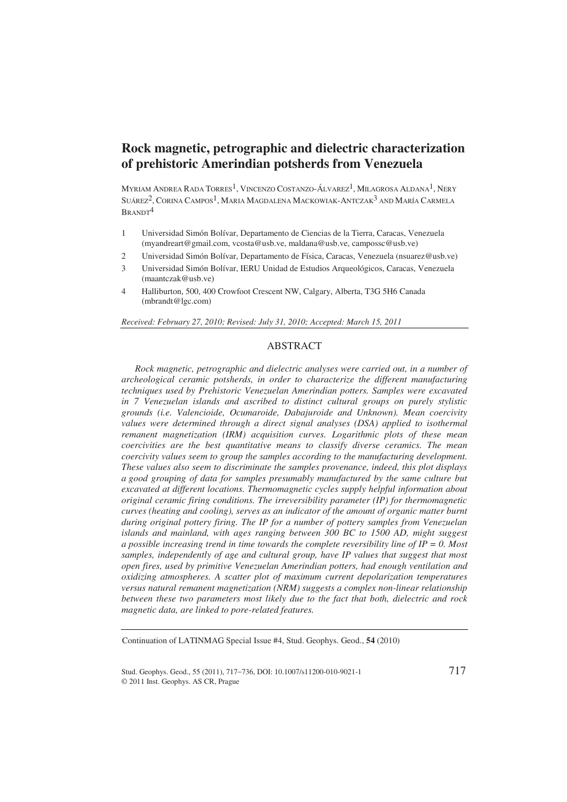# **Rock magnetic, petrographic and dielectric characterization of prehistoric Amerindian potsherds from Venezuela**

MYRIAM ANDREA RADA TORRES<sup>1</sup>, VINCENZO COSTANZO-ÁLVAREZ<sup>1</sup>, MILAGROSA ALDANA<sup>1</sup>, NERY SUÁREZ2, CORINA CAMPOS1, MARIA MAGDALENA MACKOWIAK-ANTCZAK3 AND MARÍA CARMELA BRANDT4

- 1 Universidad Simón Bolívar, Departamento de Ciencias de la Tierra, Caracas, Venezuela (myandreart@gmail.com, vcosta@usb.ve, maldana@usb.ve, campossc@usb.ve)
- 2 Universidad Simón Bolívar, Departamento de Física, Caracas, Venezuela (nsuarez@usb.ve)
- 3 Universidad Simón Bolívar, IERU Unidad de Estudios Arqueológicos, Caracas, Venezuela (maantczak@usb.ve)
- 4 Halliburton, 500, 400 Crowfoot Crescent NW, Calgary, Alberta, T3G 5H6 Canada (mbrandt@lgc.com)

*Received: February 27, 2010; Revised: July 31, 2010; Accepted: March 15, 2011* 

# ABSTRACT

*Rock magnetic, petrographic and dielectric analyses were carried out, in a number of archeological ceramic potsherds, in order to characterize the different manufacturing techniques used by Prehistoric Venezuelan Amerindian potters. Samples were excavated in 7 Venezuelan islands and ascribed to distinct cultural groups on purely stylistic grounds (i.e. Valencioide, Ocumaroide, Dabajuroide and Unknown). Mean coercivity values were determined through a direct signal analyses (DSA) applied to isothermal remanent magnetization (IRM) acquisition curves. Logarithmic plots of these mean coercivities are the best quantitative means to classify diverse ceramics. The mean coercivity values seem to group the samples according to the manufacturing development. These values also seem to discriminate the samples provenance, indeed, this plot displays a good grouping of data for samples presumably manufactured by the same culture but excavated at different locations. Thermomagnetic cycles supply helpful information about original ceramic firing conditions. The irreversibility parameter (IP) for thermomagnetic curves (heating and cooling), serves as an indicator of the amount of organic matter burnt during original pottery firing. The IP for a number of pottery samples from Venezuelan islands and mainland, with ages ranging between 300 BC to 1500 AD, might suggest a possible increasing trend in time towards the complete reversibility line of IP = 0. Most samples, independently of age and cultural group, have IP values that suggest that most open fires, used by primitive Venezuelan Amerindian potters, had enough ventilation and oxidizing atmospheres. A scatter plot of maximum current depolarization temperatures versus natural remanent magnetization (NRM) suggests a complex non-linear relationship between these two parameters most likely due to the fact that both, dielectric and rock magnetic data, are linked to pore-related features.* 

Continuation of LATINMAG Special Issue #4, Stud. Geophys. Geod., **54** (2010)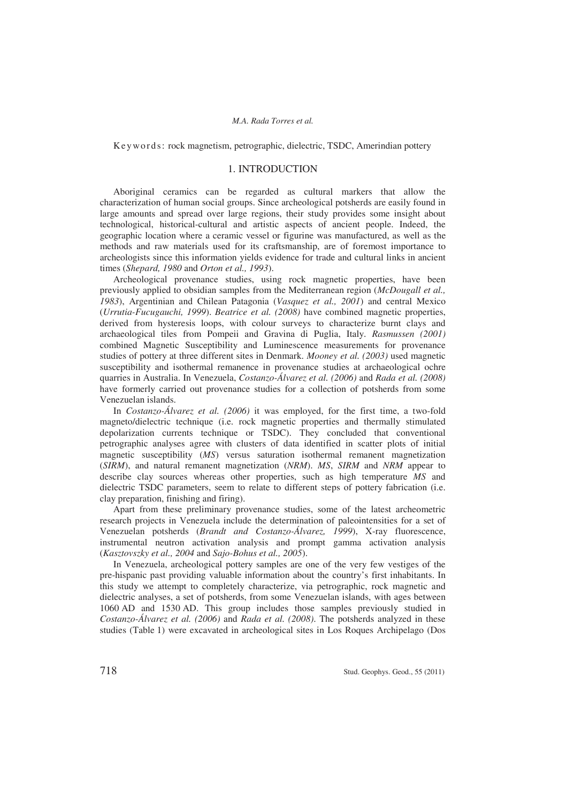Ke y words: rock magnetism, petrographic, dielectric, TSDC, Amerindian pottery

# 1. INTRODUCTION

Aboriginal ceramics can be regarded as cultural markers that allow the characterization of human social groups. Since archeological potsherds are easily found in large amounts and spread over large regions, their study provides some insight about technological, historical-cultural and artistic aspects of ancient people. Indeed, the geographic location where a ceramic vessel or figurine was manufactured, as well as the methods and raw materials used for its craftsmanship, are of foremost importance to archeologists since this information yields evidence for trade and cultural links in ancient times (*Shepard, 1980* and *Orton et al., 1993*).

Archeological provenance studies, using rock magnetic properties, have been previously applied to obsidian samples from the Mediterranean region (*McDougall et al., 1983*), Argentinian and Chilean Patagonia (*Vasquez et al., 2001*) and central Mexico (*Urrutia-Fucugauchi, 1999*). *Beatrice et al. (2008)* have combined magnetic properties, derived from hysteresis loops, with colour surveys to characterize burnt clays and archaeological tiles from Pompeii and Gravina di Puglia, Italy. *Rasmussen (2001)* combined Magnetic Susceptibility and Luminescence measurements for provenance studies of pottery at three different sites in Denmark. *Mooney et al. (2003)* used magnetic susceptibility and isothermal remanence in provenance studies at archaeological ochre quarries in Australia. In Venezuela, *Costanzo-Álvarez et al. (2006)* and *Rada et al. (2008)* have formerly carried out provenance studies for a collection of potsherds from some Venezuelan islands.

In *Costanzo-Álvarez et al. (2006)* it was employed, for the first time, a two-fold magneto/dielectric technique (i.e. rock magnetic properties and thermally stimulated depolarization currents technique or TSDC). They concluded that conventional petrographic analyses agree with clusters of data identified in scatter plots of initial magnetic susceptibility (*MS*) versus saturation isothermal remanent magnetization (*SIRM*), and natural remanent magnetization (*NRM*). *MS*, *SIRM* and *NRM* appear to describe clay sources whereas other properties, such as high temperature *MS* and dielectric TSDC parameters, seem to relate to different steps of pottery fabrication (i.e. clay preparation, finishing and firing).

Apart from these preliminary provenance studies, some of the latest archeometric research projects in Venezuela include the determination of paleointensities for a set of Venezuelan potsherds (*Brandt and Costanzo-Álvarez, 1999*), X-ray fluorescence, instrumental neutron activation analysis and prompt gamma activation analysis (*Kasztovszky et al., 2004* and *Sajo-Bohus et al., 2005*).

In Venezuela, archeological pottery samples are one of the very few vestiges of the pre-hispanic past providing valuable information about the country's first inhabitants. In this study we attempt to completely characterize, via petrographic, rock magnetic and dielectric analyses, a set of potsherds, from some Venezuelan islands, with ages between 1060 AD and 1530 AD. This group includes those samples previously studied in *Costanzo-Álvarez et al. (2006)* and *Rada et al. (2008)*. The potsherds analyzed in these studies (Table 1) were excavated in archeological sites in Los Roques Archipelago (Dos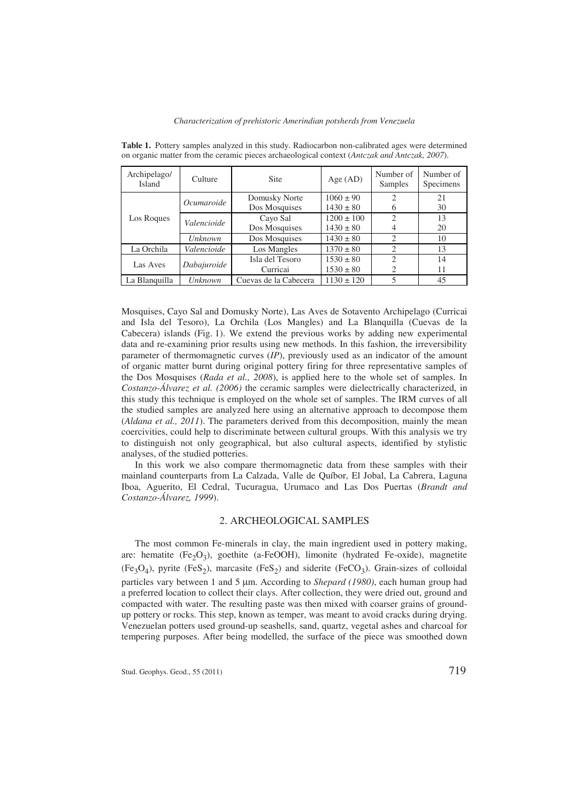| Archipelago/<br>Island | Culture        | <b>Site</b>           | Age $(AD)$     | Number of<br>Samples        | Number of<br>Specimens |
|------------------------|----------------|-----------------------|----------------|-----------------------------|------------------------|
| Los Roques             | Ocumaroide     | Domusky Norte         | $1060 \pm 90$  |                             | 21                     |
|                        |                | Dos Mosquises         | $1430 \pm 80$  | 6                           | 30                     |
|                        | Valencioide    | Cayo Sal              | $1200 \pm 100$ | $\mathfrak{D}$              | 13                     |
|                        |                | Dos Mosquises         | $1430 \pm 80$  | 4                           | 20                     |
|                        | <b>Unknown</b> | Dos Mosquises         | $1430 \pm 80$  | $\overline{2}$              | 10                     |
| La Orchila             | Valencioide    | Los Mangles           | $1370 \pm 80$  | $\mathcal{D}_{\mathcal{L}}$ | 13                     |
| Las Aves               | Dabajuroide    | Isla del Tesoro       | $1530 \pm 80$  | $\mathfrak{D}$              | 14                     |
|                        |                | Curricai              | $1530 \pm 80$  | 2                           | 11                     |
| La Blanquilla          | <i>Unknown</i> | Cuevas de la Cabecera | $1130 \pm 120$ | 5                           | 45                     |

**Table 1.** Pottery samples analyzed in this study. Radiocarbon non-calibrated ages were determined on organic matter from the ceramic pieces archaeological context (*Antczak and Antczak, 2007*).

Mosquises, Cayo Sal and Domusky Norte), Las Aves de Sotavento Archipelago (Curricai and Isla del Tesoro), La Orchila (Los Mangles) and La Blanquilla (Cuevas de la Cabecera) islands (Fig. 1). We extend the previous works by adding new experimental data and re-examining prior results using new methods. In this fashion, the irreversibility parameter of thermomagnetic curves (*IP*), previously used as an indicator of the amount of organic matter burnt during original pottery firing for three representative samples of the Dos Mosquises (*Rada et al., 2008*), is applied here to the whole set of samples. In *Costanzo-Álvarez et al. (2006)* the ceramic samples were dielectrically characterized, in this study this technique is employed on the whole set of samples. The IRM curves of all the studied samples are analyzed here using an alternative approach to decompose them (*Aldana et al., 2011*). The parameters derived from this decomposition, mainly the mean coercivities, could help to discriminate between cultural groups. With this analysis we try to distinguish not only geographical, but also cultural aspects, identified by stylistic analyses, of the studied potteries.

In this work we also compare thermomagnetic data from these samples with their mainland counterparts from La Calzada, Valle de Quíbor, El Jobal, La Cabrera, Laguna Iboa, Aguerito, El Cedral, Tucuragua, Urumaco and Las Dos Puertas (*Brandt and Costanzo-Álvarez, 1999*).

## 2. ARCHEOLOGICAL SAMPLES

The most common Fe-minerals in clay, the main ingredient used in pottery making, are: hematite  $(Fe<sub>2</sub>O<sub>3</sub>)$ , goethite (a-FeOOH), limonite (hydrated Fe-oxide), magnetite  $(Fe_3O_4)$ , pyrite  $(FeS_2)$ , marcasite  $(FeS_2)$  and siderite  $(FeCO_3)$ . Grain-sizes of colloidal particles vary between 1 and 5  $\mu$ m. According to *Shepard (1980)*, each human group had a preferred location to collect their clays. After collection, they were dried out, ground and compacted with water. The resulting paste was then mixed with coarser grains of groundup pottery or rocks. This step, known as temper, was meant to avoid cracks during drying. Venezuelan potters used ground-up seashells, sand, quartz, vegetal ashes and charcoal for tempering purposes. After being modelled, the surface of the piece was smoothed down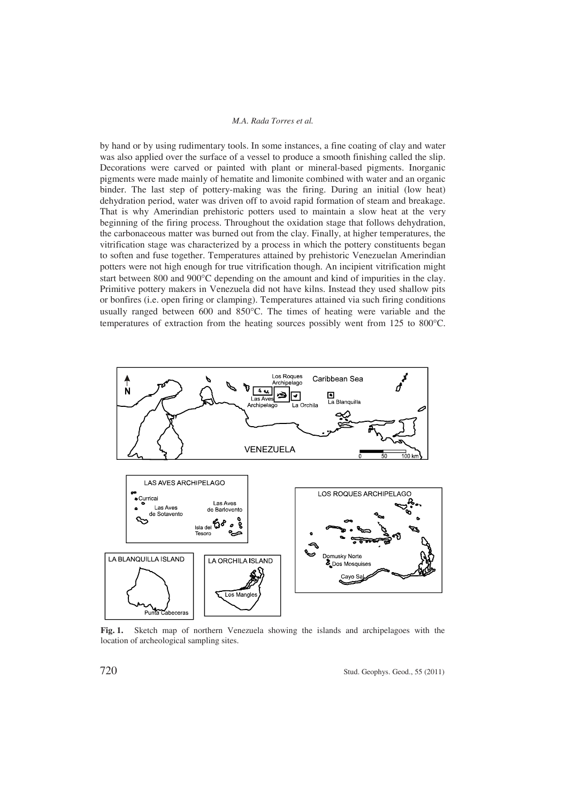by hand or by using rudimentary tools. In some instances, a fine coating of clay and water was also applied over the surface of a vessel to produce a smooth finishing called the slip. Decorations were carved or painted with plant or mineral-based pigments. Inorganic pigments were made mainly of hematite and limonite combined with water and an organic binder. The last step of pottery-making was the firing. During an initial (low heat) dehydration period, water was driven off to avoid rapid formation of steam and breakage. That is why Amerindian prehistoric potters used to maintain a slow heat at the very beginning of the firing process. Throughout the oxidation stage that follows dehydration, the carbonaceous matter was burned out from the clay. Finally, at higher temperatures, the vitrification stage was characterized by a process in which the pottery constituents began to soften and fuse together. Temperatures attained by prehistoric Venezuelan Amerindian potters were not high enough for true vitrification though. An incipient vitrification might start between 800 and  $900^{\circ}$ C depending on the amount and kind of impurities in the clay. Primitive pottery makers in Venezuela did not have kilns. Instead they used shallow pits or bonfires (i.e. open firing or clamping). Temperatures attained via such firing conditions usually ranged between 600 and  $850^{\circ}$ C. The times of heating were variable and the temperatures of extraction from the heating sources possibly went from  $125$  to  $800^{\circ}$ C.



**Fig. 1.** Sketch map of northern Venezuela showing the islands and archipelagoes with the location of archeological sampling sites.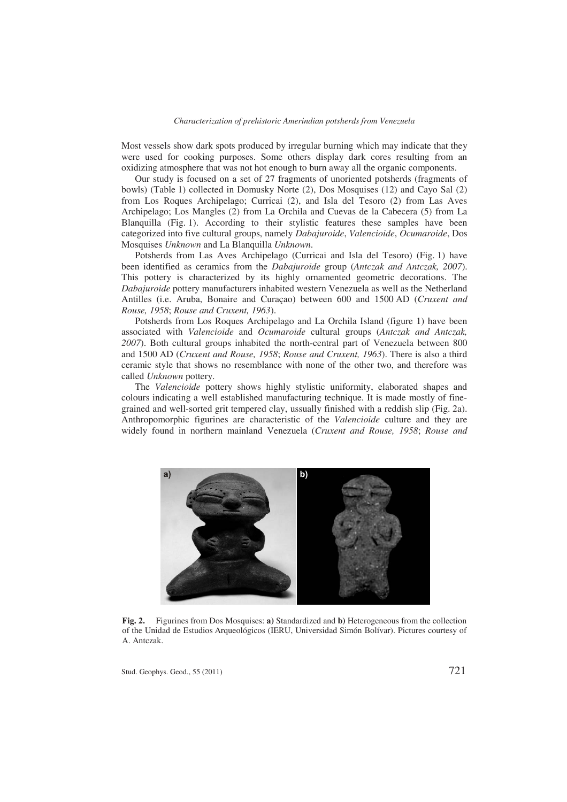Most vessels show dark spots produced by irregular burning which may indicate that they were used for cooking purposes. Some others display dark cores resulting from an oxidizing atmosphere that was not hot enough to burn away all the organic components.

Our study is focused on a set of 27 fragments of unoriented potsherds (fragments of bowls) (Table 1) collected in Domusky Norte (2), Dos Mosquises (12) and Cayo Sal (2) from Los Roques Archipelago; Curricai (2), and Isla del Tesoro (2) from Las Aves Archipelago; Los Mangles (2) from La Orchila and Cuevas de la Cabecera (5) from La Blanquilla (Fig. 1). According to their stylistic features these samples have been categorized into five cultural groups, namely *Dabajuroide*, *Valencioide*, *Ocumaroide*, Dos Mosquises *Unknown* and La Blanquilla *Unknown*.

Potsherds from Las Aves Archipelago (Curricai and Isla del Tesoro) (Fig. 1) have been identified as ceramics from the *Dabajuroide* group (*Antczak and Antczak, 2007*). This pottery is characterized by its highly ornamented geometric decorations. The *Dabajuroide* pottery manufacturers inhabited western Venezuela as well as the Netherland Antilles (i.e. Aruba, Bonaire and Curaçao) between 600 and 1500 AD (*Cruxent and Rouse, 1958*; *Rouse and Cruxent, 1963*).

Potsherds from Los Roques Archipelago and La Orchila Island (figure 1) have been associated with *Valencioide* and *Ocumaroide* cultural groups (*Antczak and Antczak, 2007*). Both cultural groups inhabited the north-central part of Venezuela between 800 and 1500 AD (*Cruxent and Rouse, 1958*; *Rouse and Cruxent, 1963*). There is also a third ceramic style that shows no resemblance with none of the other two, and therefore was called *Unknown* pottery.

The *Valencioide* pottery shows highly stylistic uniformity, elaborated shapes and colours indicating a well established manufacturing technique. It is made mostly of finegrained and well-sorted grit tempered clay, ussually finished with a reddish slip (Fig. 2a). Anthropomorphic figurines are characteristic of the *Valencioide* culture and they are widely found in northern mainland Venezuela (*Cruxent and Rouse, 1958*; *Rouse and* 



**Fig. 2.** Figurines from Dos Mosquises: **a)** Standardized and **b)** Heterogeneous from the collection of the Unidad de Estudios Arqueológicos (IERU, Universidad Simón Bolívar). Pictures courtesy of A. Antczak.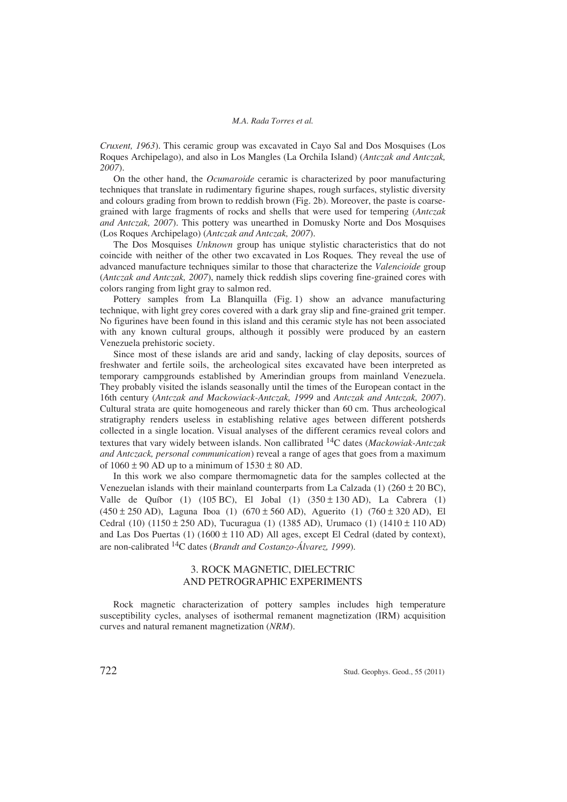*Cruxent, 1963*). This ceramic group was excavated in Cayo Sal and Dos Mosquises (Los Roques Archipelago), and also in Los Mangles (La Orchila Island) (*Antczak and Antczak, 2007*).

On the other hand, the *Ocumaroide* ceramic is characterized by poor manufacturing techniques that translate in rudimentary figurine shapes, rough surfaces, stylistic diversity and colours grading from brown to reddish brown (Fig. 2b). Moreover, the paste is coarsegrained with large fragments of rocks and shells that were used for tempering (*Antczak and Antczak, 2007*). This pottery was unearthed in Domusky Norte and Dos Mosquises (Los Roques Archipelago) (*Antczak and Antczak, 2007*).

The Dos Mosquises *Unknown* group has unique stylistic characteristics that do not coincide with neither of the other two excavated in Los Roques*.* They reveal the use of advanced manufacture techniques similar to those that characterize the *Valencioide* group (*Antczak and Antczak, 2007*), namely thick reddish slips covering fine-grained cores with colors ranging from light gray to salmon red.

Pottery samples from La Blanquilla (Fig. 1) show an advance manufacturing technique, with light grey cores covered with a dark gray slip and fine-grained grit temper. No figurines have been found in this island and this ceramic style has not been associated with any known cultural groups, although it possibly were produced by an eastern Venezuela prehistoric society.

Since most of these islands are arid and sandy, lacking of clay deposits, sources of freshwater and fertile soils, the archeological sites excavated have been interpreted as temporary campgrounds established by Amerindian groups from mainland Venezuela. They probably visited the islands seasonally until the times of the European contact in the 16th century (*Antczak and Mackowiack-Antczak, 1999* and *Antczak and Antczak, 2007*). Cultural strata are quite homogeneous and rarely thicker than 60 cm. Thus archeological stratigraphy renders useless in establishing relative ages between different potsherds collected in a single location. Visual analyses of the different ceramics reveal colors and textures that vary widely between islands. Non callibrated 14C dates (*Mackowiak-Antczak and Antczack, personal communication*) reveal a range of ages that goes from a maximum of  $1060 \pm 90$  AD up to a minimum of  $1530 \pm 80$  AD.

In this work we also compare thermomagnetic data for the samples collected at the Venezuelan islands with their mainland counterparts from La Calzada (1) ( $260 \pm 20$  BC), Valle de Quíbor (1) (105 BC), El Jobal (1)  $(350 \pm 130 \text{ AD})$ , La Cabrera (1)  $(450 \pm 250 \text{ AD})$ , Laguna Iboa (1)  $(670 \pm 560 \text{ AD})$ , Aguerito (1)  $(760 \pm 320 \text{ AD})$ , El Cedral (10) (1150 ± 250 AD), Tucuragua (1) (1385 AD), Urumaco (1) (1410 ± 110 AD) and Las Dos Puertas  $(1)$  (1600  $\pm$  110 AD) All ages, except El Cedral (dated by context), are non-calibrated 14C dates (*Brandt and Costanzo-Álvarez, 1999*).

# 3. ROCK MAGNETIC, DIELECTRIC AND PETROGRAPHIC EXPERIMENTS

Rock magnetic characterization of pottery samples includes high temperature susceptibility cycles, analyses of isothermal remanent magnetization (IRM) acquisition curves and natural remanent magnetization (*NRM*).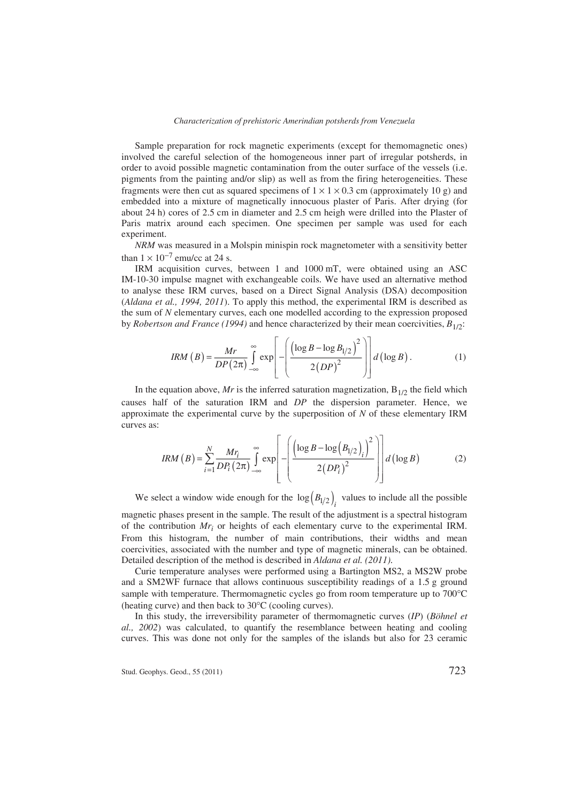#### *Characterization of prehistoric Amerindian potsherds from Venezuela*

Sample preparation for rock magnetic experiments (except for themomagnetic ones) involved the careful selection of the homogeneous inner part of irregular potsherds, in order to avoid possible magnetic contamination from the outer surface of the vessels (i.e. pigments from the painting and/or slip) as well as from the firing heterogeneities. These fragments were then cut as squared specimens of  $1 \times 1 \times 0.3$  cm (approximately 10 g) and embedded into a mixture of magnetically innocuous plaster of Paris. After drying (for about 24 h) cores of 2.5 cm in diameter and 2.5 cm heigh were drilled into the Plaster of Paris matrix around each specimen. One specimen per sample was used for each experiment.

*NRM* was measured in a Molspin minispin rock magnetometer with a sensitivity better than  $1 \times 10^{-7}$  emu/cc at 24 s.

IRM acquisition curves, between 1 and 1000 mT, were obtained using an ASC IM-10-30 impulse magnet with exchangeable coils. We have used an alternative method to analyse these IRM curves, based on a Direct Signal Analysis (DSA) decomposition (*Aldana et al., 1994, 2011*). To apply this method, the experimental IRM is described as the sum of *N* elementary curves, each one modelled according to the expression proposed by *Robertson and France* (1994) and hence characterized by their mean coercivities,  $B_{1/2}$ :

$$
IRM(B) = \frac{Mr}{DP(2\pi)} \int_{-\infty}^{\infty} \exp\left[-\left(\frac{\left(\log B - \log B_{1/2}\right)^2}{2(DP)^2}\right)\right] d\left(\log B\right). \tag{1}
$$

In the equation above, *Mr* is the inferred saturation magnetization,  $B_{1/2}$  the field which causes half of the saturation IRM and *DP* the dispersion parameter. Hence, we approximate the experimental curve by the superposition of *N* of these elementary IRM curves as:

$$
IRM(B) = \sum_{i=1}^{N} \frac{Mr_i}{DP_i(2\pi)} \int_{-\infty}^{\infty} \exp\left[-\left(\frac{\left(\log B - \log\left(B_{1/2}\right)_i\right)^2}{2\left(DP_i\right)^2}\right)\right] d\left(\log B\right) \tag{2}
$$

We select a window wide enough for the  $\log(B_{1/2})$ <sub>i</sub> values to include all the possible

magnetic phases present in the sample. The result of the adjustment is a spectral histogram of the contribution *Mri* or heights of each elementary curve to the experimental IRM. From this histogram, the number of main contributions, their widths and mean coercivities, associated with the number and type of magnetic minerals, can be obtained. Detailed description of the method is described in *Aldana et al. (2011)*.

Curie temperature analyses were performed using a Bartington MS2, a MS2W probe and a SM2WF furnace that allows continuous susceptibility readings of a 1.5 g ground sample with temperature. Thermomagnetic cycles go from room temperature up to  $700^{\circ}$ C (heating curve) and then back to  $30^{\circ}$ C (cooling curves).

In this study, the irreversibility parameter of thermomagnetic curves (*IP*) (*Böhnel et al., 2002*) was calculated, to quantify the resemblance between heating and cooling curves. This was done not only for the samples of the islands but also for 23 ceramic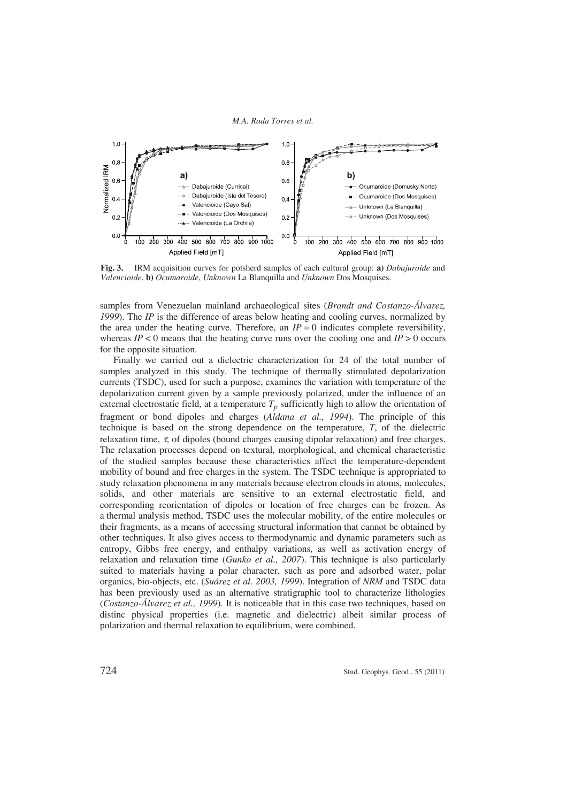

**Fig. 3.** IRM acquisition curves for potsherd samples of each cultural group: **a)** *Dabajuroide* and *Valencioide*, **b)** *Ocumaroide*, *Unknown* La Blanquilla and *Unknown* Dos Mosquises.

samples from Venezuelan mainland archaeological sites (*Brandt and Costanzo-Álvarez, 1999*). The *IP* is the difference of areas below heating and cooling curves, normalized by the area under the heating curve. Therefore, an  $IP = 0$  indicates complete reversibility, whereas  $IP < 0$  means that the heating curve runs over the cooling one and  $IP > 0$  occurs for the opposite situation.

Finally we carried out a dielectric characterization for 24 of the total number of samples analyzed in this study. The technique of thermally stimulated depolarization currents (TSDC), used for such a purpose, examines the variation with temperature of the depolarization current given by a sample previously polarized, under the influence of an external electrostatic field, at a temperature  $T_p$  sufficiently high to allow the orientation of fragment or bond dipoles and charges (*Aldana et al., 1994*). The principle of this technique is based on the strong dependence on the temperature, *T*, of the dielectric relaxation time,  $\tau$ , of dipoles (bound charges causing dipolar relaxation) and free charges. The relaxation processes depend on textural, morphological, and chemical characteristic of the studied samples because these characteristics affect the temperature-dependent mobility of bound and free charges in the system. The TSDC technique is appropriated to study relaxation phenomena in any materials because electron clouds in atoms, molecules, solids, and other materials are sensitive to an external electrostatic field, and corresponding reorientation of dipoles or location of free charges can be frozen. As a thermal analysis method, TSDC uses the molecular mobility, of the entire molecules or their fragments, as a means of accessing structural information that cannot be obtained by other techniques. It also gives access to thermodynamic and dynamic parameters such as entropy, Gibbs free energy, and enthalpy variations, as well as activation energy of relaxation and relaxation time (*Gunko et al., 2007*). This technique is also particularly suited to materials having a polar character, such as pore and adsorbed water, polar organics, bio-objects, etc. (*Suárez et al. 2003, 1999*). Integration of *NRM* and TSDC data has been previously used as an alternative stratigraphic tool to characterize lithologies (*Costanzo-Álvarez et al., 1999*). It is noticeable that in this case two techniques, based on distinc physical properties (i.e. magnetic and dielectric) albeit similar process of polarization and thermal relaxation to equilibrium, were combined.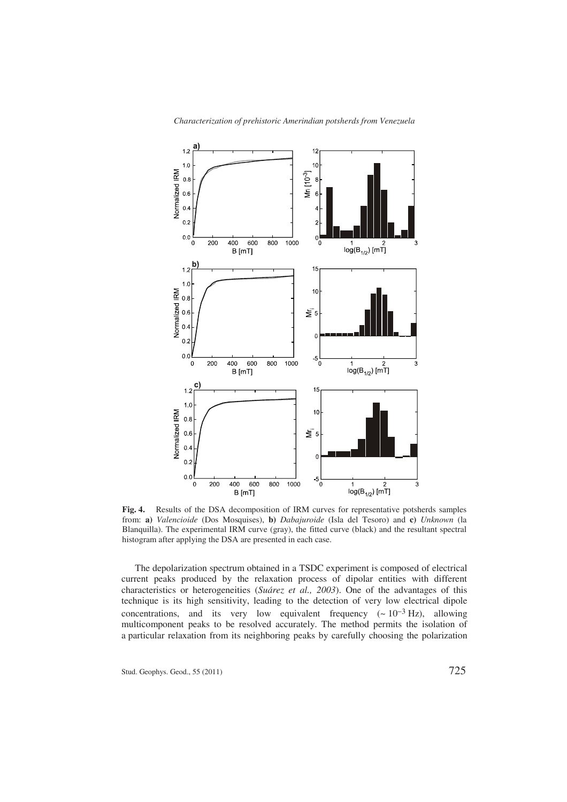

**Fig. 4.** Results of the DSA decomposition of IRM curves for representative potsherds samples from: **a)** *Valencioide* (Dos Mosquises), **b)** *Dabajuroide* (Isla del Tesoro) and **c)** *Unknown* (la Blanquilla). The experimental IRM curve (gray), the fitted curve (black) and the resultant spectral histogram after applying the DSA are presented in each case.

The depolarization spectrum obtained in a TSDC experiment is composed of electrical current peaks produced by the relaxation process of dipolar entities with different characteristics or heterogeneities (*Suárez et al., 2003*). One of the advantages of this technique is its high sensitivity, leading to the detection of very low electrical dipole concentrations, and its very low equivalent frequency  $({\sim 10^{-3} \text{ Hz}})$ , allowing multicomponent peaks to be resolved accurately. The method permits the isolation of a particular relaxation from its neighboring peaks by carefully choosing the polarization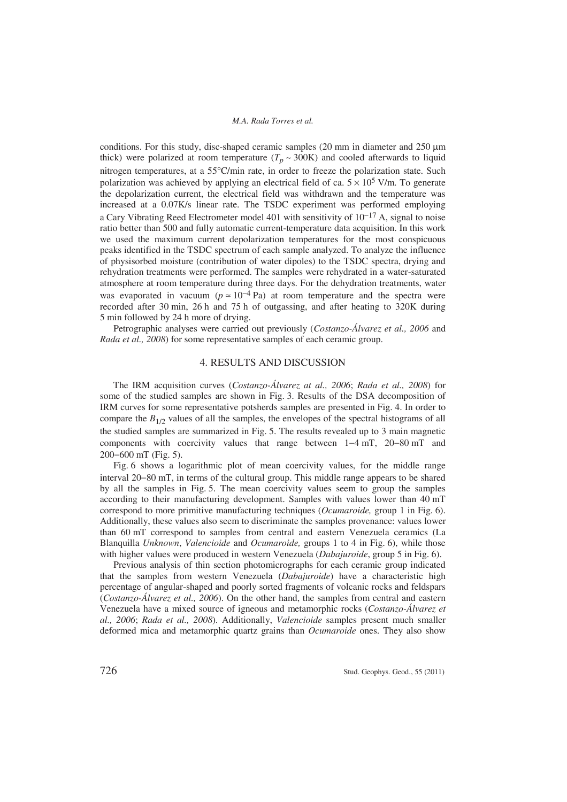conditions. For this study, disc-shaped ceramic samples  $(20 \text{ mm})$  in diameter and  $250 \mu m$ thick) were polarized at room temperature  $(T_p \sim 300 \text{K})$  and cooled afterwards to liquid nitrogen temperatures, at a 55°C/min rate, in order to freeze the polarization state. Such polarization was achieved by applying an electrical field of ca.  $5 \times 10^5$  V/m. To generate the depolarization current, the electrical field was withdrawn and the temperature was increased at a 0.07K/s linear rate. The TSDC experiment was performed employing a Cary Vibrating Reed Electrometer model 401 with sensitivity of  $10^{-17}$  A, signal to noise ratio better than 500 and fully automatic current-temperature data acquisition. In this work we used the maximum current depolarization temperatures for the most conspicuous peaks identified in the TSDC spectrum of each sample analyzed. To analyze the influence of physisorbed moisture (contribution of water dipoles) to the TSDC spectra, drying and rehydration treatments were performed. The samples were rehydrated in a water-saturated atmosphere at room temperature during three days. For the dehydration treatments, water was evaporated in vacuum ( $p \approx 10^{-4}$  Pa) at room temperature and the spectra were recorded after 30 min, 26 h and 75 h of outgassing, and after heating to 320K during 5 min followed by 24 h more of drying.

Petrographic analyses were carried out previously (*Costanzo-Álvarez et al., 2006* and *Rada et al., 2008*) for some representative samples of each ceramic group.

# 4. RESULTS AND DISCUSSION

The IRM acquisition curves (*Costanzo-Álvarez at al., 2006*; *Rada et al., 2008*) for some of the studied samples are shown in Fig. 3. Results of the DSA decomposition of IRM curves for some representative potsherds samples are presented in Fig. 4. In order to compare the  $B_{1/2}$  values of all the samples, the envelopes of the spectral histograms of all the studied samples are summarized in Fig. 5. The results revealed up to 3 main magnetic components with coercivity values that range between  $1-4$  mT,  $20-80$  mT and 200–600 mT (Fig. 5).

Fig. 6 shows a logarithmic plot of mean coercivity values, for the middle range interval 20–80 mT, in terms of the cultural group. This middle range appears to be shared by all the samples in Fig. 5. The mean coercivity values seem to group the samples according to their manufacturing development. Samples with values lower than 40 mT correspond to more primitive manufacturing techniques (*Ocumaroide,* group 1 in Fig. 6). Additionally, these values also seem to discriminate the samples provenance: values lower than 60 mT correspond to samples from central and eastern Venezuela ceramics (La Blanquilla *Unknown*, *Valencioide* and *Ocumaroide,* groups 1 to 4 in Fig. 6), while those with higher values were produced in western Venezuela (*Dabajuroide*, group 5 in Fig. 6).

Previous analysis of thin section photomicrographs for each ceramic group indicated that the samples from western Venezuela (*Dabajuroide*) have a characteristic high percentage of angular-shaped and poorly sorted fragments of volcanic rocks and feldspars (*Costanzo-Álvarez et al., 2006*). On the other hand, the samples from central and eastern Venezuela have a mixed source of igneous and metamorphic rocks (*Costanzo-Álvarez et al., 2006*; *Rada et al., 2008*). Additionally, *Valencioide* samples present much smaller deformed mica and metamorphic quartz grains than *Ocumaroide* ones. They also show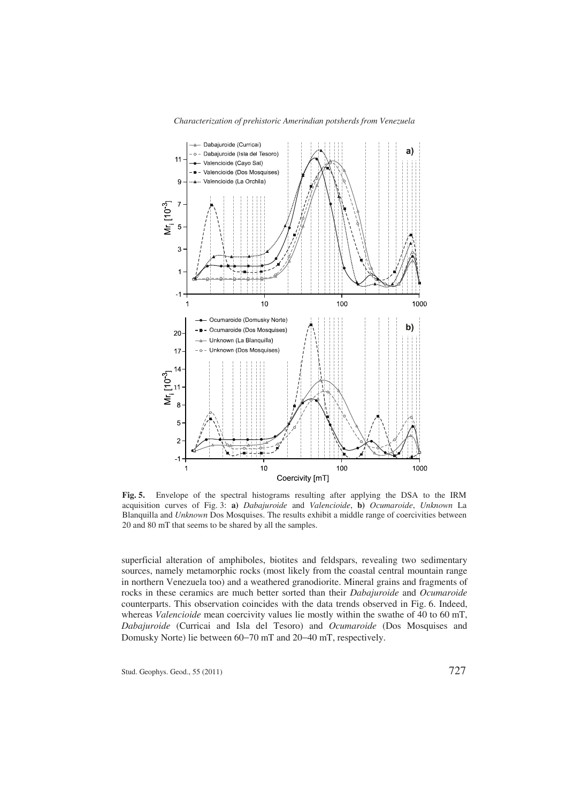

**Fig. 5.** Envelope of the spectral histograms resulting after applying the DSA to the IRM acquisition curves of Fig. 3: **a)** *Dabajuroide* and *Valencioide*, **b)** *Ocumaroide*, *Unknown* La Blanquilla and *Unknown* Dos Mosquises. The results exhibit a middle range of coercivities between 20 and 80 mT that seems to be shared by all the samples.

superficial alteration of amphiboles, biotites and feldspars, revealing two sedimentary sources, namely metamorphic rocks (most likely from the coastal central mountain range in northern Venezuela too) and a weathered granodiorite. Mineral grains and fragments of rocks in these ceramics are much better sorted than their *Dabajuroide* and *Ocumaroide* counterparts. This observation coincides with the data trends observed in Fig. 6. Indeed, whereas *Valencioide* mean coercivity values lie mostly within the swathe of 40 to 60 mT, *Dabajuroide* (Curricai and Isla del Tesoro) and *Ocumaroide* (Dos Mosquises and Domusky Norte) lie between 60–70 mT and 20–40 mT, respectively.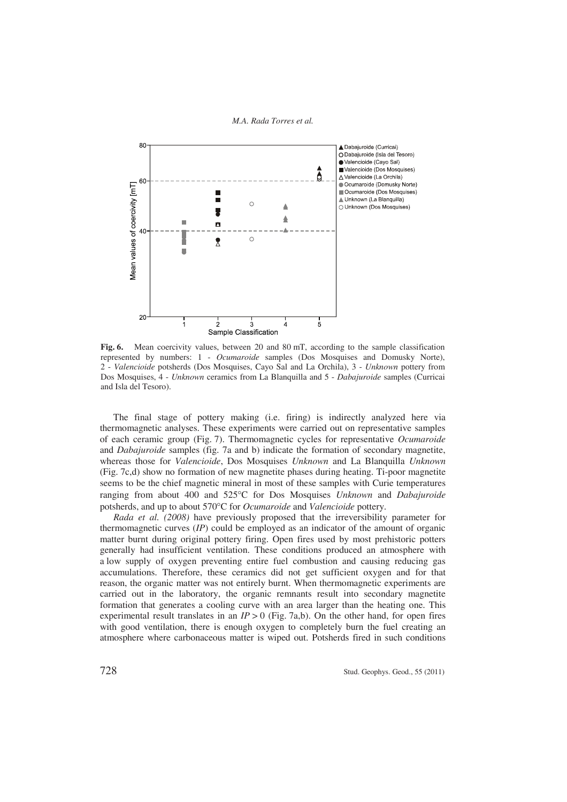

Fig. 6. Mean coercivity values, between 20 and 80 mT, according to the sample classification represented by numbers: 1 - *Ocumaroide* samples (Dos Mosquises and Domusky Norte), 2 - *Valencioide* potsherds (Dos Mosquises, Cayo Sal and La Orchila), 3 - *Unknown* pottery from Dos Mosquises, 4 - *Unknown* ceramics from La Blanquilla and 5 - *Dabajuroide* samples (Curricai and Isla del Tesoro).

The final stage of pottery making (i.e. firing) is indirectly analyzed here via thermomagnetic analyses. These experiments were carried out on representative samples of each ceramic group (Fig. 7). Thermomagnetic cycles for representative *Ocumaroide* and *Dabajuroide* samples (fig. 7a and b) indicate the formation of secondary magnetite, whereas those for *Valencioide*, Dos Mosquises *Unknown* and La Blanquilla *Unknown* (Fig. 7c,d) show no formation of new magnetite phases during heating. Ti-poor magnetite seems to be the chief magnetic mineral in most of these samples with Curie temperatures ranging from about 400 and 525C for Dos Mosquises *Unknown* and *Dabajuroide* potsherds, and up to about 570°C for *Ocumaroide* and *Valencioide* pottery.

*Rada et al. (2008)* have previously proposed that the irreversibility parameter for thermomagnetic curves (*IP*) could be employed as an indicator of the amount of organic matter burnt during original pottery firing. Open fires used by most prehistoric potters generally had insufficient ventilation. These conditions produced an atmosphere with a low supply of oxygen preventing entire fuel combustion and causing reducing gas accumulations. Therefore, these ceramics did not get sufficient oxygen and for that reason, the organic matter was not entirely burnt. When thermomagnetic experiments are carried out in the laboratory, the organic remnants result into secondary magnetite formation that generates a cooling curve with an area larger than the heating one. This experimental result translates in an  $IP > 0$  (Fig. 7a,b). On the other hand, for open fires with good ventilation, there is enough oxygen to completely burn the fuel creating an atmosphere where carbonaceous matter is wiped out. Potsherds fired in such conditions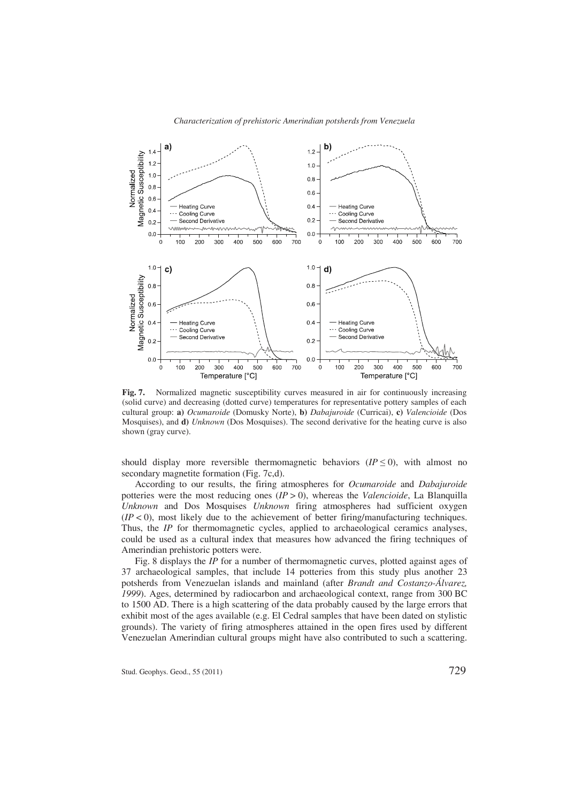

**Fig. 7.** Normalized magnetic susceptibility curves measured in air for continuously increasing (solid curve) and decreasing (dotted curve) temperatures for representative pottery samples of each cultural group: **a)** *Ocumaroide* (Domusky Norte), **b)** *Dabajuroide* (Curricai), **c)** *Valencioide* (Dos Mosquises), and **d)** *Unknown* (Dos Mosquises). The second derivative for the heating curve is also shown (gray curve).

should display more reversible thermomagnetic behaviors  $(IP \le 0)$ , with almost no secondary magnetite formation (Fig. 7c,d).

According to our results, the firing atmospheres for *Ocumaroide* and *Dabajuroide* potteries were the most reducing ones (*IP* > 0), whereas the *Valencioide*, La Blanquilla *Unknown* and Dos Mosquises *Unknown* firing atmospheres had sufficient oxygen  $(IP < 0)$ , most likely due to the achievement of better firing/manufacturing techniques. Thus, the *IP* for thermomagnetic cycles, applied to archaeological ceramics analyses, could be used as a cultural index that measures how advanced the firing techniques of Amerindian prehistoric potters were.

Fig. 8 displays the *IP* for a number of thermomagnetic curves, plotted against ages of 37 archaeological samples, that include 14 potteries from this study plus another 23 potsherds from Venezuelan islands and mainland (after *Brandt and Costanzo-Álvarez, 1999*). Ages, determined by radiocarbon and archaeological context, range from 300 BC to 1500 AD. There is a high scattering of the data probably caused by the large errors that exhibit most of the ages available (e.g. El Cedral samples that have been dated on stylistic grounds). The variety of firing atmospheres attained in the open fires used by different Venezuelan Amerindian cultural groups might have also contributed to such a scattering.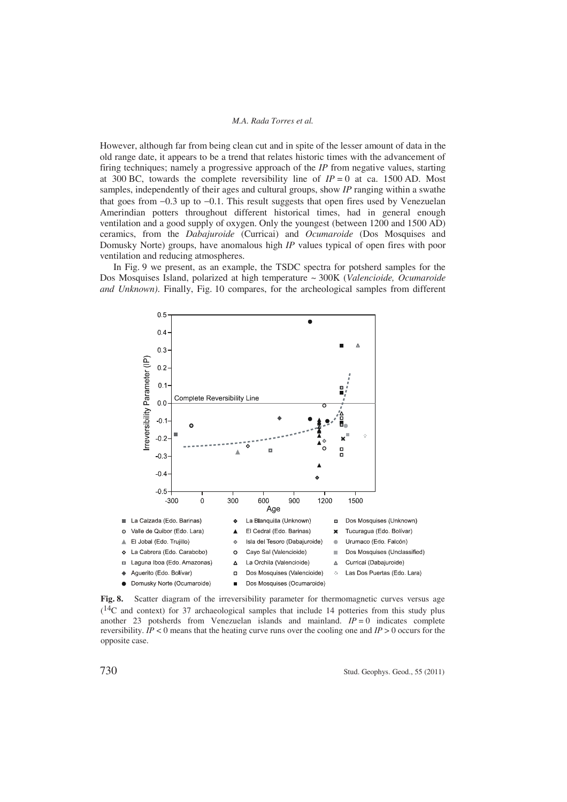However, although far from being clean cut and in spite of the lesser amount of data in the old range date, it appears to be a trend that relates historic times with the advancement of firing techniques; namely a progressive approach of the *IP* from negative values, starting at 300 BC, towards the complete reversibility line of  $IP = 0$  at ca. 1500 AD. Most samples, independently of their ages and cultural groups, show *IP* ranging within a swathe that goes from  $-0.3$  up to  $-0.1$ . This result suggests that open fires used by Venezuelan Amerindian potters throughout different historical times, had in general enough ventilation and a good supply of oxygen. Only the youngest (between 1200 and 1500 AD) ceramics, from the *Dabajuroide* (Curricai) and *Ocumaroide* (Dos Mosquises and Domusky Norte) groups, have anomalous high *IP* values typical of open fires with poor ventilation and reducing atmospheres.

In Fig. 9 we present, as an example, the TSDC spectra for potsherd samples for the Dos Mosquises Island, polarized at high temperature ~ 300K (*Valencioide, Ocumaroide and Unknown)*. Finally, Fig. 10 compares, for the archeological samples from different



Fig. 8. Scatter diagram of the irreversibility parameter for thermomagnetic curves versus age  $(14)$ C and context) for 37 archaeological samples that include 14 potteries from this study plus another 23 potsherds from Venezuelan islands and mainland.  $IP = 0$  indicates complete reversibility.  $IP < 0$  means that the heating curve runs over the cooling one and  $IP > 0$  occurs for the opposite case.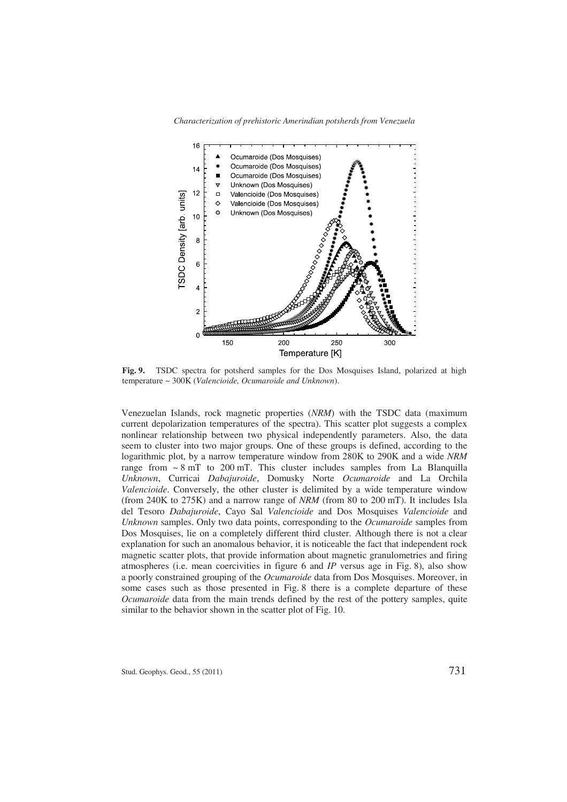

**Fig. 9.** TSDC spectra for potsherd samples for the Dos Mosquises Island, polarized at high temperature ~ 300K (*Valencioide, Ocumaroide and Unknown*).

Venezuelan Islands, rock magnetic properties (*NRM*) with the TSDC data (maximum current depolarization temperatures of the spectra). This scatter plot suggests a complex nonlinear relationship between two physical independently parameters. Also, the data seem to cluster into two major groups. One of these groups is defined, according to the logarithmic plot, by a narrow temperature window from 280K to 290K and a wide *NRM* range from  $\sim 8$  mT to 200 mT. This cluster includes samples from La Blanquilla *Unknown*, Curricai *Dabajuroide*, Domusky Norte *Ocumaroide* and La Orchila *Valencioide*. Conversely, the other cluster is delimited by a wide temperature window (from 240K to 275K) and a narrow range of *NRM* (from 80 to 200 mT). It includes Isla del Tesoro *Dabajuroide*, Cayo Sal *Valencioide* and Dos Mosquises *Valencioide* and *Unknown* samples. Only two data points, corresponding to the *Ocumaroide* samples from Dos Mosquises, lie on a completely different third cluster. Although there is not a clear explanation for such an anomalous behavior, it is noticeable the fact that independent rock magnetic scatter plots, that provide information about magnetic granulometries and firing atmospheres (i.e. mean coercivities in figure 6 and *IP* versus age in Fig. 8), also show a poorly constrained grouping of the *Ocumaroide* data from Dos Mosquises. Moreover, in some cases such as those presented in Fig. 8 there is a complete departure of these *Ocumaroide* data from the main trends defined by the rest of the pottery samples, quite similar to the behavior shown in the scatter plot of Fig. 10.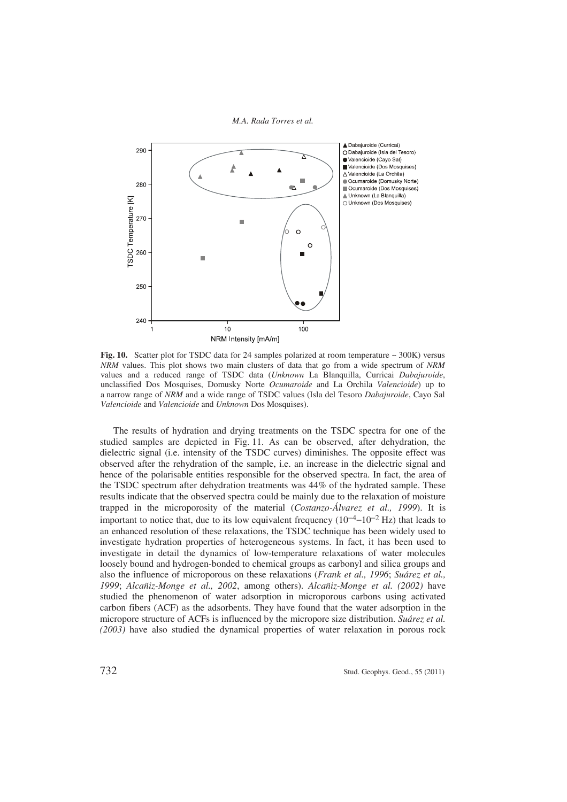

**Fig. 10.** Scatter plot for TSDC data for 24 samples polarized at room temperature  $\sim$  300K) versus *NRM* values. This plot shows two main clusters of data that go from a wide spectrum of *NRM* values and a reduced range of TSDC data (*Unknown* La Blanquilla, Curricai *Dabajuroide*, unclassified Dos Mosquises, Domusky Norte *Ocumaroide* and La Orchila *Valencioide*) up to a narrow range of *NRM* and a wide range of TSDC values (Isla del Tesoro *Dabajuroide*, Cayo Sal *Valencioide* and *Valencioide* and *Unknown* Dos Mosquises).

The results of hydration and drying treatments on the TSDC spectra for one of the studied samples are depicted in Fig. 11. As can be observed, after dehydration, the dielectric signal (i.e. intensity of the TSDC curves) diminishes. The opposite effect was observed after the rehydration of the sample, i.e. an increase in the dielectric signal and hence of the polarisable entities responsible for the observed spectra. In fact, the area of the TSDC spectrum after dehydration treatments was 44% of the hydrated sample. These results indicate that the observed spectra could be mainly due to the relaxation of moisture trapped in the microporosity of the material (*Costanzo-Álvarez et al., 1999*). It is important to notice that, due to its low equivalent frequency  $(10^{-4} - 10^{-2}$  Hz) that leads to an enhanced resolution of these relaxations, the TSDC technique has been widely used to investigate hydration properties of heterogeneous systems. In fact, it has been used to investigate in detail the dynamics of low-temperature relaxations of water molecules loosely bound and hydrogen-bonded to chemical groups as carbonyl and silica groups and also the influence of microporous on these relaxations (*Frank et al., 1996*; *Suárez et al., 1999*; *Alcañiz-Monge et al., 2002*, among others). *Alcañiz-Monge et al. (2002)* have studied the phenomenon of water adsorption in microporous carbons using activated carbon fibers (ACF) as the adsorbents. They have found that the water adsorption in the micropore structure of ACFs is influenced by the micropore size distribution. *Suárez et al. (2003)* have also studied the dynamical properties of water relaxation in porous rock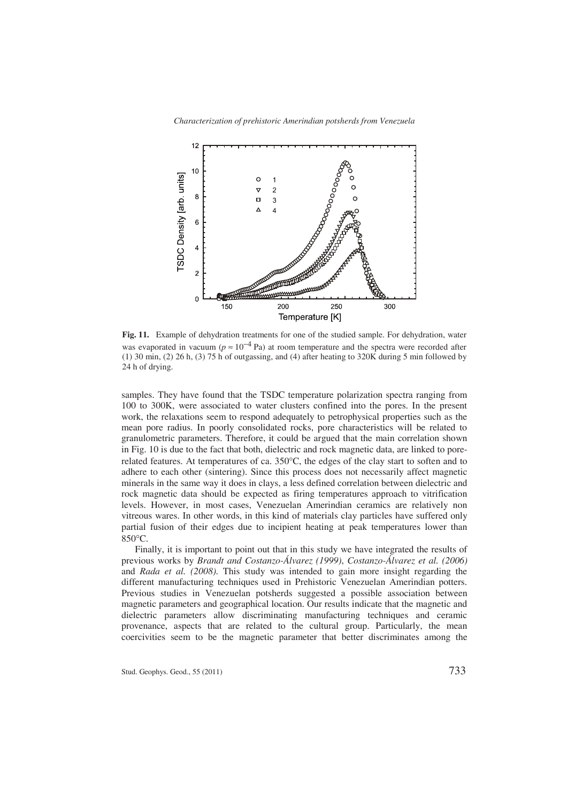

**Fig. 11.** Example of dehydration treatments for one of the studied sample. For dehydration, water was evaporated in vacuum ( $p \approx 10^{-4}$  Pa) at room temperature and the spectra were recorded after (1) 30 min, (2) 26 h, (3) 75 h of outgassing, and (4) after heating to 320K during 5 min followed by 24 h of drying.

samples. They have found that the TSDC temperature polarization spectra ranging from 100 to 300K, were associated to water clusters confined into the pores. In the present work, the relaxations seem to respond adequately to petrophysical properties such as the mean pore radius. In poorly consolidated rocks, pore characteristics will be related to granulometric parameters. Therefore, it could be argued that the main correlation shown in Fig. 10 is due to the fact that both, dielectric and rock magnetic data, are linked to porerelated features. At temperatures of ca.  $350^{\circ}$ C, the edges of the clay start to soften and to adhere to each other (sintering). Since this process does not necessarily affect magnetic minerals in the same way it does in clays, a less defined correlation between dielectric and rock magnetic data should be expected as firing temperatures approach to vitrification levels. However, in most cases, Venezuelan Amerindian ceramics are relatively non vitreous wares. In other words, in this kind of materials clay particles have suffered only partial fusion of their edges due to incipient heating at peak temperatures lower than  $850^{\circ}$ C.

Finally, it is important to point out that in this study we have integrated the results of previous works by *Brandt and Costanzo-Álvarez (1999)*, *Costanzo-Álvarez et al. (2006)* and *Rada et al. (2008)*. This study was intended to gain more insight regarding the different manufacturing techniques used in Prehistoric Venezuelan Amerindian potters. Previous studies in Venezuelan potsherds suggested a possible association between magnetic parameters and geographical location. Our results indicate that the magnetic and dielectric parameters allow discriminating manufacturing techniques and ceramic provenance, aspects that are related to the cultural group. Particularly, the mean coercivities seem to be the magnetic parameter that better discriminates among the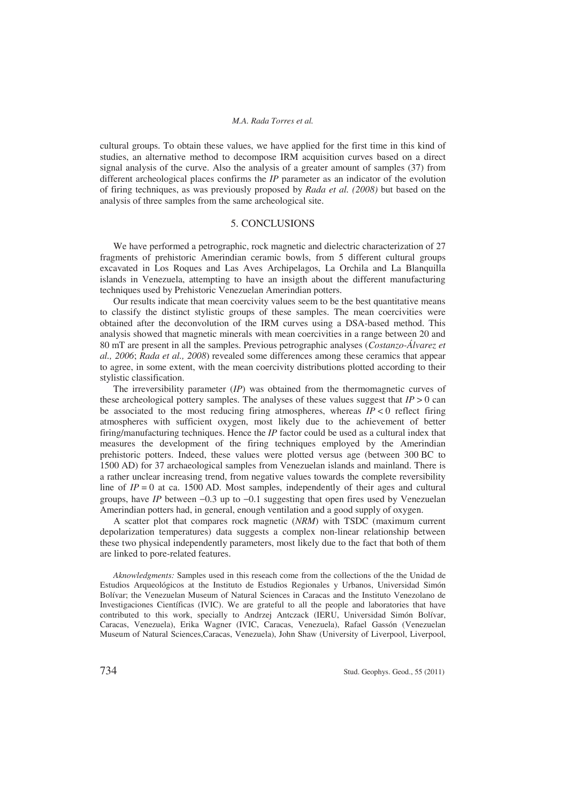cultural groups. To obtain these values, we have applied for the first time in this kind of studies, an alternative method to decompose IRM acquisition curves based on a direct signal analysis of the curve. Also the analysis of a greater amount of samples (37) from different archeological places confirms the *IP* parameter as an indicator of the evolution of firing techniques, as was previously proposed by *Rada et al. (2008)* but based on the analysis of three samples from the same archeological site.

### 5. CONCLUSIONS

We have performed a petrographic, rock magnetic and dielectric characterization of 27 fragments of prehistoric Amerindian ceramic bowls, from 5 different cultural groups excavated in Los Roques and Las Aves Archipelagos, La Orchila and La Blanquilla islands in Venezuela, attempting to have an insigth about the different manufacturing techniques used by Prehistoric Venezuelan Amerindian potters.

Our results indicate that mean coercivity values seem to be the best quantitative means to classify the distinct stylistic groups of these samples. The mean coercivities were obtained after the deconvolution of the IRM curves using a DSA-based method. This analysis showed that magnetic minerals with mean coercivities in a range between 20 and 80 mT are present in all the samples. Previous petrographic analyses (*Costanzo-Álvarez et al., 2006*; *Rada et al., 2008*) revealed some differences among these ceramics that appear to agree, in some extent, with the mean coercivity distributions plotted according to their stylistic classification.

The irreversibility parameter (*IP*) was obtained from the thermomagnetic curves of these archeological pottery samples. The analyses of these values suggest that  $IP > 0$  can be associated to the most reducing firing atmospheres, whereas  $IP < 0$  reflect firing atmospheres with sufficient oxygen, most likely due to the achievement of better firing/manufacturing techniques. Hence the *IP* factor could be used as a cultural index that measures the development of the firing techniques employed by the Amerindian prehistoric potters. Indeed, these values were plotted versus age (between 300 BC to 1500 AD) for 37 archaeological samples from Venezuelan islands and mainland. There is a rather unclear increasing trend, from negative values towards the complete reversibility line of  $IP = 0$  at ca. 1500 AD. Most samples, independently of their ages and cultural groups, have *IP* between  $-0.3$  up to  $-0.1$  suggesting that open fires used by Venezuelan Amerindian potters had, in general, enough ventilation and a good supply of oxygen.

A scatter plot that compares rock magnetic (*NRM*) with TSDC (maximum current depolarization temperatures) data suggests a complex non-linear relationship between these two physical independently parameters, most likely due to the fact that both of them are linked to pore-related features.

*Aknowledgments:* Samples used in this reseach come from the collections of the the Unidad de Estudios Arqueológicos at the Instituto de Estudios Regionales y Urbanos, Universidad Simón Bolívar; the Venezuelan Museum of Natural Sciences in Caracas and the Instituto Venezolano de Investigaciones Científicas (IVIC). We are grateful to all the people and laboratories that have contributed to this work, specially to Andrzej Antczack (IERU, Universidad Simón Bolívar, Caracas, Venezuela), Erika Wagner (IVIC, Caracas, Venezuela), Rafael Gassón (Venezuelan Museum of Natural Sciences,Caracas, Venezuela), John Shaw (University of Liverpool, Liverpool,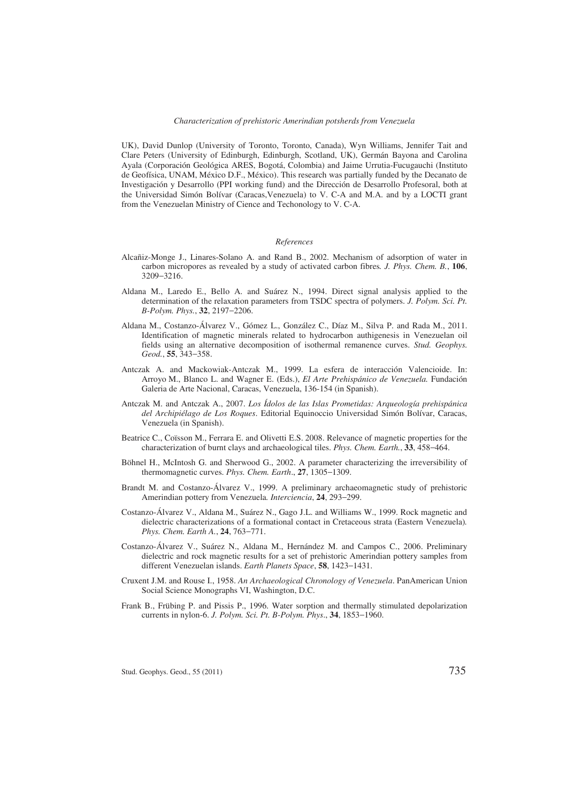#### *Characterization of prehistoric Amerindian potsherds from Venezuela*

UK), David Dunlop (University of Toronto, Toronto, Canada), Wyn Williams, Jennifer Tait and Clare Peters (University of Edinburgh, Edinburgh, Scotland, UK), Germán Bayona and Carolina Ayala (Corporación Geológica ARES, Bogotá, Colombia) and Jaime Urrutia-Fucugauchi (Instituto de Geofísica, UNAM, México D.F., México). This research was partially funded by the Decanato de Investigación y Desarrollo (PPI working fund) and the Dirección de Desarrollo Profesoral, both at the Universidad Simón Bolívar (Caracas,Venezuela) to V. C-A and M.A. and by a LOCTI grant from the Venezuelan Ministry of Cience and Techonology to V. C-A.

#### *References*

- Alcañiz-Monge J., Linares-Solano A. and Rand B., 2002. Mechanism of adsorption of water in carbon micropores as revealed by a study of activated carbon fibres*. J. Phys. Chem. B.*, **106**, 3209-3216.
- Aldana M., Laredo E., Bello A. and Suárez N., 1994. Direct signal analysis applied to the determination of the relaxation parameters from TSDC spectra of polymers. *J. Polym. Sci. Pt. B-Polym. Phys.*, 32, 2197-2206.
- Aldana M., Costanzo-Álvarez V., Gómez L., González C., Díaz M., Silva P. and Rada M., 2011. Identification of magnetic minerals related to hydrocarbon authigenesis in Venezuelan oil fields using an alternative decomposition of isothermal remanence curves. *Stud. Geophys. Geod.*, 55, 343-358.
- Antczak A. and Mackowiak-Antczak M., 1999. La esfera de interacción Valencioide. In: Arroyo M., Blanco L. and Wagner E. (Eds.), *El Arte Prehispánico de Venezuela.* Fundación Galeria de Arte Nacional, Caracas, Venezuela, 136-154 (in Spanish).
- Antczak M. and Antczak A., 2007. *Los Ídolos de las Islas Prometidas: Arqueología prehispánica del Archipiélago de Los Roques*. Editorial Equinoccio Universidad Simón Bolívar, Caracas, Venezuela (in Spanish).
- Beatrice C., Coïsson M., Ferrara E. and Olivetti E.S. 2008. Relevance of magnetic properties for the characterization of burnt clays and archaeological tiles. *Phys. Chem. Earth.*, 33, 458–464.
- Böhnel H., McIntosh G. and Sherwood G., 2002. A parameter characterizing the irreversibility of thermomagnetic curves. *Phys. Chem. Earth.*, **27**, 1305–1309.
- Brandt M. and Costanzo-Álvarez V., 1999. A preliminary archaeomagnetic study of prehistoric Amerindian pottery from Venezuela. *Interciencia*, 24, 293-299.
- Costanzo-Álvarez V., Aldana M., Suárez N., Gago J.L. and Williams W., 1999. Rock magnetic and dielectric characterizations of a formational contact in Cretaceous strata (Eastern Venezuela)*. Phys. Chem. Earth A.*, 24, 763-771.
- Costanzo-Álvarez V., Suárez N., Aldana M., Hernández M. and Campos C., 2006. Preliminary dielectric and rock magnetic results for a set of prehistoric Amerindian pottery samples from different Venezuelan islands. *Earth Planets Space*, **58**, 1423-1431.
- Cruxent J.M. and Rouse I., 1958. *An Archaeological Chronology of Venezuela*. PanAmerican Union Social Science Monographs VI, Washington, D.C.
- Frank B., Frübing P. and Pissis P., 1996. Water sorption and thermally stimulated depolarization currents in nylon-6. *J. Polym. Sci. Pt. B-Polym. Phys.*, **34**, 1853–1960.